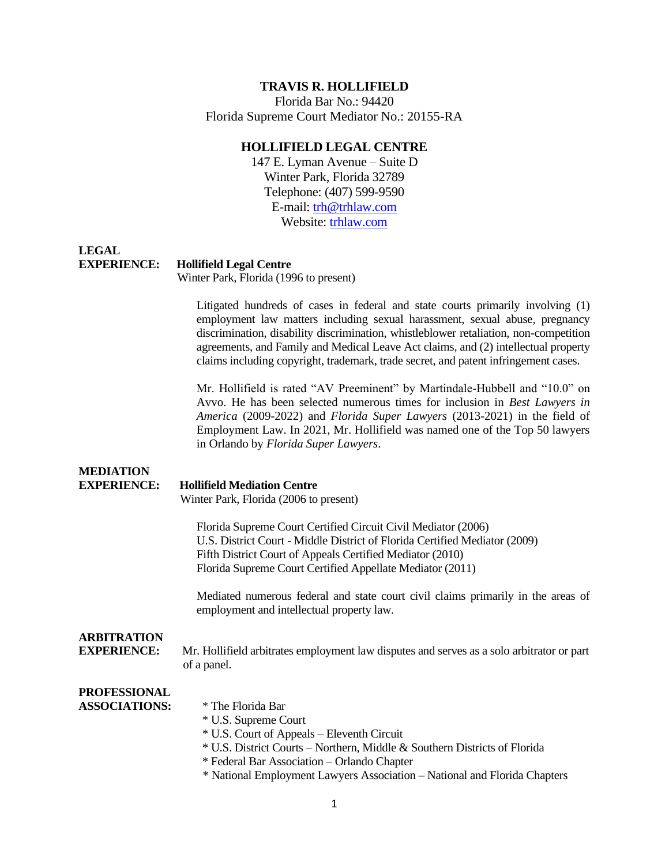# **TRAVIS R. HOLLIFIELD**

Florida Bar No.: 94420 Florida Supreme Court Mediator No.: 20155-RA

# **HOLLIFIELD LEGAL CENTRE**

147 E. Lyman Avenue – Suite D Winter Park, Florida 32789 Telephone: (407) 599-9590 E-mail: [trh@trhlaw.com](mailto:trh@trhlaw.com) Website[: trhlaw.com](http://www.trhlaw.com/)

# **LEGAL EXPERIENCE: Hollifield Legal Centre**

Winter Park, Florida (1996 to present)

Litigated hundreds of cases in federal and state courts primarily involving (1) employment law matters including sexual harassment, sexual abuse, pregnancy discrimination, disability discrimination, whistleblower retaliation, non-competition agreements, and Family and Medical Leave Act claims, and (2) intellectual property claims including copyright, trademark, trade secret, and patent infringement cases.

Mr. Hollifield is rated "AV Preeminent" by Martindale-Hubbell and "10.0" on Avvo. He has been selected numerous times for inclusion in *Best Lawyers in America* (2009-2022) and *Florida Super Lawyers* (2013-2021) in the field of Employment Law. In 2021, Mr. Hollifield was named one of the Top 50 lawyers in Orlando by *Florida Super Lawyers*.

# **MEDIATION**

## **EXPERIENCE: Hollifield Mediation Centre**

Winter Park, Florida (2006 to present)

Florida Supreme Court Certified Circuit Civil Mediator (2006) U.S. District Court - Middle District of Florida Certified Mediator (2009) Fifth District Court of Appeals Certified Mediator (2010) Florida Supreme Court Certified Appellate Mediator (2011)

Mediated numerous federal and state court civil claims primarily in the areas of employment and intellectual property law.

# **ARBITRATION**

**EXPERIENCE:** Mr. Hollifield arbitrates employment law disputes and serves as a solo arbitrator or part of a panel.

#### **PROFESSIONAL ASSOCIATIONS:**

|  | * The Florida Bar |
|--|-------------------|
|--|-------------------|

- \* U.S. Supreme Court
- \* U.S. Court of Appeals Eleventh Circuit
- \* U.S. District Courts Northern, Middle & Southern Districts of Florida
- \* Federal Bar Association Orlando Chapter
- \* National Employment Lawyers Association National and Florida Chapters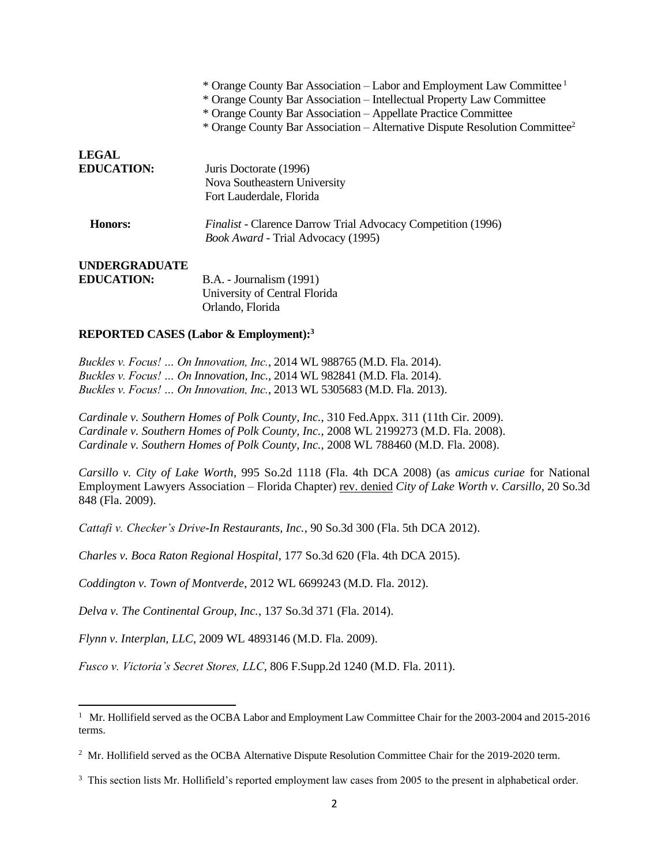|                      | * Orange County Bar Association – Labor and Employment Law Committee <sup>1</sup><br>* Orange County Bar Association – Intellectual Property Law Committee<br>* Orange County Bar Association – Appellate Practice Committee |
|----------------------|------------------------------------------------------------------------------------------------------------------------------------------------------------------------------------------------------------------------------|
|                      | * Orange County Bar Association – Alternative Dispute Resolution Committee <sup>2</sup>                                                                                                                                      |
| <b>LEGAL</b>         |                                                                                                                                                                                                                              |
| <b>EDUCATION:</b>    | Juris Doctorate (1996)                                                                                                                                                                                                       |
|                      | Nova Southeastern University                                                                                                                                                                                                 |
|                      | Fort Lauderdale, Florida                                                                                                                                                                                                     |
| Honors:              | <i>Finalist</i> - Clarence Darrow Trial Advocacy Competition (1996)                                                                                                                                                          |
|                      | <i>Book Award - Trial Advocacy (1995)</i>                                                                                                                                                                                    |
| <b>UNDERGRADUATE</b> |                                                                                                                                                                                                                              |
| <b>EDUCATION:</b>    | <b>B.A.</b> - Journalism (1991)                                                                                                                                                                                              |
|                      | University of Central Florida                                                                                                                                                                                                |

## **REPORTED CASES (Labor & Employment):<sup>3</sup>**

*Buckles v. Focus! … On Innovation, Inc.*, 2014 WL 988765 (M.D. Fla. 2014). *Buckles v. Focus! … On Innovation, Inc.*, 2014 WL 982841 (M.D. Fla. 2014). *Buckles v. Focus! … On Innovation, Inc.*, 2013 WL 5305683 (M.D. Fla. 2013).

Orlando, Florida

*Cardinale v. Southern Homes of Polk County, Inc.*, 310 Fed.Appx. 311 (11th Cir. 2009). *Cardinale v. Southern Homes of Polk County, Inc.*, 2008 WL 2199273 (M.D. Fla. 2008). *Cardinale v. Southern Homes of Polk County, Inc.*, 2008 WL 788460 (M.D. Fla. 2008).

*Carsillo v. City of Lake Worth*, 995 So.2d 1118 (Fla. 4th DCA 2008) (as *amicus curiae* for National Employment Lawyers Association – Florida Chapter) rev. denied *City of Lake Worth v. Carsillo*, 20 So.3d 848 (Fla. 2009).

*Cattafi v. Checker's Drive-In Restaurants, Inc.*, 90 So.3d 300 (Fla. 5th DCA 2012).

*Charles v. Boca Raton Regional Hospital*, 177 So.3d 620 (Fla. 4th DCA 2015).

*Coddington v. Town of Montverde*, 2012 WL 6699243 (M.D. Fla. 2012).

*Delva v. The Continental Group, Inc.*, 137 So.3d 371 (Fla. 2014).

*Flynn v. Interplan, LLC*, 2009 WL 4893146 (M.D. Fla. 2009).

*Fusco v. Victoria's Secret Stores, LLC*, 806 F.Supp.2d 1240 (M.D. Fla. 2011).

<sup>&</sup>lt;sup>1</sup> Mr. Hollifield served as the OCBA Labor and Employment Law Committee Chair for the 2003-2004 and 2015-2016 terms.

<sup>&</sup>lt;sup>2</sup> Mr. Hollifield served as the OCBA Alternative Dispute Resolution Committee Chair for the 2019-2020 term.

<sup>&</sup>lt;sup>3</sup> This section lists Mr. Hollifield's reported employment law cases from 2005 to the present in alphabetical order.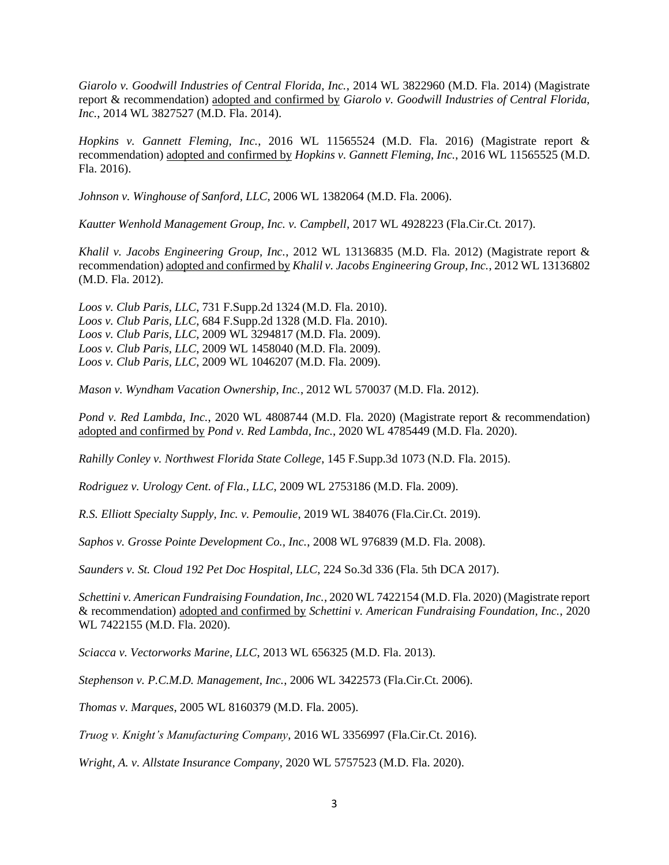*Giarolo v. Goodwill Industries of Central Florida, Inc.*, 2014 WL 3822960 (M.D. Fla. 2014) (Magistrate report & recommendation) adopted and confirmed by *Giarolo v. Goodwill Industries of Central Florida, Inc.*, 2014 WL 3827527 (M.D. Fla. 2014).

*Hopkins v. Gannett Fleming, Inc.*, 2016 WL 11565524 (M.D. Fla. 2016) (Magistrate report & recommendation) adopted and confirmed by *Hopkins v. Gannett Fleming, Inc.*, 2016 WL 11565525 (M.D. Fla. 2016).

*Johnson v. Winghouse of Sanford, LLC*, 2006 WL 1382064 (M.D. Fla. 2006).

*Kautter Wenhold Management Group, Inc. v. Campbell*, 2017 WL 4928223 (Fla.Cir.Ct. 2017).

*Khalil v. Jacobs Engineering Group, Inc.*, 2012 WL 13136835 (M.D. Fla. 2012) (Magistrate report & recommendation) adopted and confirmed by *Khalil v. Jacobs Engineering Group, Inc.*, 2012 WL 13136802 (M.D. Fla. 2012).

*Loos v. Club Paris, LLC*, 731 F.Supp.2d 1324 (M.D. Fla. 2010). *Loos v. Club Paris, LLC*, 684 F.Supp.2d 1328 (M.D. Fla. 2010). *Loos v. Club Paris, LLC*, 2009 WL 3294817 (M.D. Fla. 2009). *Loos v. Club Paris, LLC*, 2009 WL 1458040 (M.D. Fla. 2009). *Loos v. Club Paris, LLC*, 2009 WL 1046207 (M.D. Fla. 2009).

*Mason v. Wyndham Vacation Ownership, Inc.*, 2012 WL 570037 (M.D. Fla. 2012).

*Pond v. Red Lambda, Inc.*, 2020 WL 4808744 (M.D. Fla. 2020) (Magistrate report & recommendation) adopted and confirmed by *Pond v. Red Lambda, Inc.*, 2020 WL 4785449 (M.D. Fla. 2020).

*Rahilly Conley v. Northwest Florida State College*, 145 F.Supp.3d 1073 (N.D. Fla. 2015).

*Rodriguez v. Urology Cent. of Fla., LLC*, 2009 WL 2753186 (M.D. Fla. 2009).

*R.S. Elliott Specialty Supply, Inc. v. Pemoulie*, 2019 WL 384076 (Fla.Cir.Ct. 2019).

*Saphos v. Grosse Pointe Development Co., Inc.*, 2008 WL 976839 (M.D. Fla. 2008).

*Saunders v. St. Cloud 192 Pet Doc Hospital, LLC*, 224 So.3d 336 (Fla. 5th DCA 2017).

*Schettini v. American Fundraising Foundation, Inc.*, 2020 WL 7422154 (M.D. Fla. 2020) (Magistrate report & recommendation) adopted and confirmed by *Schettini v. American Fundraising Foundation, Inc.*, 2020 WL 7422155 (M.D. Fla. 2020).

*Sciacca v. Vectorworks Marine, LLC*, 2013 WL 656325 (M.D. Fla. 2013).

*Stephenson v. P.C.M.D. Management, Inc.*, 2006 WL 3422573 (Fla.Cir.Ct. 2006).

*Thomas v. Marques*, 2005 WL 8160379 (M.D. Fla. 2005).

*Truog v. Knight's Manufacturing Company*, 2016 WL 3356997 (Fla.Cir.Ct. 2016).

*Wright, A. v. Allstate Insurance Company*, 2020 WL 5757523 (M.D. Fla. 2020).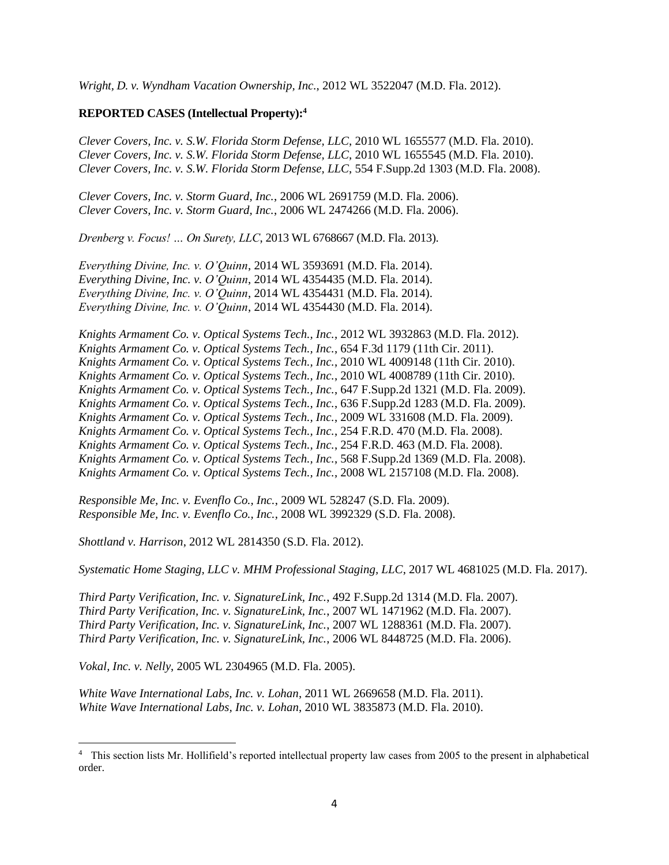*Wright, D. v. Wyndham Vacation Ownership, Inc.*, 2012 WL 3522047 (M.D. Fla. 2012).

# **REPORTED CASES (Intellectual Property):<sup>4</sup>**

*Clever Covers, Inc. v. S.W. Florida Storm Defense, LLC*, 2010 WL 1655577 (M.D. Fla. 2010). *Clever Covers, Inc. v. S.W. Florida Storm Defense, LLC*, 2010 WL 1655545 (M.D. Fla. 2010). *Clever Covers, Inc. v. S.W. Florida Storm Defense, LLC*, 554 F.Supp.2d 1303 (M.D. Fla. 2008).

*Clever Covers, Inc. v. Storm Guard, Inc.*, 2006 WL 2691759 (M.D. Fla. 2006). *Clever Covers, Inc. v. Storm Guard, Inc.*, 2006 WL 2474266 (M.D. Fla. 2006).

*Drenberg v. Focus! … On Surety, LLC*, 2013 WL 6768667 (M.D. Fla. 2013).

*Everything Divine, Inc. v. O'Quinn*, 2014 WL 3593691 (M.D. Fla. 2014). *Everything Divine, Inc. v. O'Quinn*, 2014 WL 4354435 (M.D. Fla. 2014). *Everything Divine, Inc. v. O'Quinn*, 2014 WL 4354431 (M.D. Fla. 2014). *Everything Divine, Inc. v. O'Quinn*, 2014 WL 4354430 (M.D. Fla. 2014).

*Knights Armament Co. v. Optical Systems Tech., Inc.*, 2012 WL 3932863 (M.D. Fla. 2012). *Knights Armament Co. v. Optical Systems Tech., Inc.*, 654 F.3d 1179 (11th Cir. 2011). *Knights Armament Co. v. Optical Systems Tech., Inc.*, 2010 WL 4009148 (11th Cir. 2010). *Knights Armament Co. v. Optical Systems Tech., Inc.*, 2010 WL 4008789 (11th Cir. 2010). *Knights Armament Co. v. Optical Systems Tech., Inc.*, 647 F.Supp.2d 1321 (M.D. Fla. 2009). *Knights Armament Co. v. Optical Systems Tech., Inc.*, 636 F.Supp.2d 1283 (M.D. Fla. 2009). *Knights Armament Co. v. Optical Systems Tech., Inc.*, 2009 WL 331608 (M.D. Fla. 2009). *Knights Armament Co. v. Optical Systems Tech., Inc.*, 254 F.R.D. 470 (M.D. Fla. 2008). *Knights Armament Co. v. Optical Systems Tech., Inc.*, 254 F.R.D. 463 (M.D. Fla. 2008). *Knights Armament Co. v. Optical Systems Tech., Inc.*, 568 F.Supp.2d 1369 (M.D. Fla. 2008). *Knights Armament Co. v. Optical Systems Tech., Inc.*, 2008 WL 2157108 (M.D. Fla. 2008).

*Responsible Me, Inc. v. Evenflo Co., Inc.*, 2009 WL 528247 (S.D. Fla. 2009). *Responsible Me, Inc. v. Evenflo Co., Inc.*, 2008 WL 3992329 (S.D. Fla. 2008).

*Shottland v. Harrison*, 2012 WL 2814350 (S.D. Fla. 2012).

*Systematic Home Staging, LLC v. MHM Professional Staging, LLC*, 2017 WL 4681025 (M.D. Fla. 2017).

*Third Party Verification, Inc. v. SignatureLink, Inc.*, 492 F.Supp.2d 1314 (M.D. Fla. 2007). *Third Party Verification, Inc. v. SignatureLink, Inc.*, 2007 WL 1471962 (M.D. Fla. 2007). *Third Party Verification, Inc. v. SignatureLink, Inc.*, 2007 WL 1288361 (M.D. Fla. 2007). *Third Party Verification, Inc. v. SignatureLink, Inc.*, 2006 WL 8448725 (M.D. Fla. 2006).

*Vokal, Inc. v. Nelly*, 2005 WL 2304965 (M.D. Fla. 2005).

*White Wave International Labs, Inc. v. Lohan*, 2011 WL 2669658 (M.D. Fla. 2011). *White Wave International Labs, Inc. v. Lohan*, 2010 WL 3835873 (M.D. Fla. 2010).

<sup>&</sup>lt;sup>4</sup> This section lists Mr. Hollifield's reported intellectual property law cases from 2005 to the present in alphabetical order.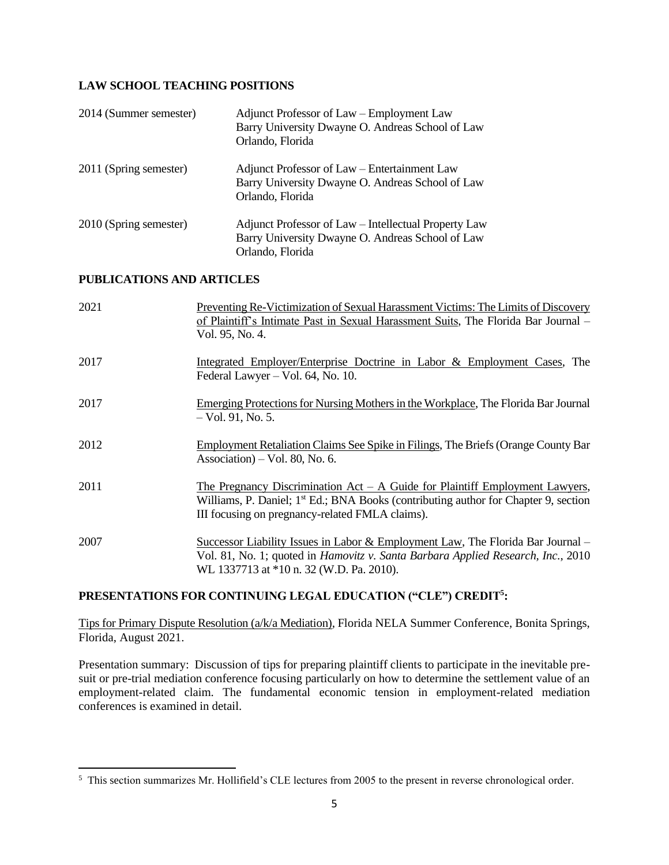# **LAW SCHOOL TEACHING POSITIONS**

| 2014 (Summer semester) | Adjunct Professor of Law – Employment Law<br>Barry University Dwayne O. Andreas School of Law<br>Orlando, Florida            |
|------------------------|------------------------------------------------------------------------------------------------------------------------------|
| 2011 (Spring semester) | Adjunct Professor of Law – Entertainment Law<br>Barry University Dwayne O. Andreas School of Law<br>Orlando, Florida         |
| 2010 (Spring semester) | Adjunct Professor of Law – Intellectual Property Law<br>Barry University Dwayne O. Andreas School of Law<br>Orlando, Florida |

# **PUBLICATIONS AND ARTICLES**

| 2021 | Preventing Re-Victimization of Sexual Harassment Victims: The Limits of Discovery<br>of Plaintiff's Intimate Past in Sexual Harassment Suits, The Florida Bar Journal -<br>Vol. 95, No. 4.                                           |
|------|--------------------------------------------------------------------------------------------------------------------------------------------------------------------------------------------------------------------------------------|
| 2017 | Integrated Employer/Enterprise Doctrine in Labor & Employment Cases, The<br>Federal Lawyer – Vol. 64, No. 10.                                                                                                                        |
| 2017 | Emerging Protections for Nursing Mothers in the Workplace, The Florida Bar Journal<br>$-$ Vol. 91, No. 5.                                                                                                                            |
| 2012 | <b>Employment Retaliation Claims See Spike in Filings, The Briefs (Orange County Bar</b><br>Association) – Vol. 80, No. 6.                                                                                                           |
| 2011 | The Pregnancy Discrimination $Act - A$ Guide for Plaintiff Employment Lawyers,<br>Williams, P. Daniel; 1 <sup>st</sup> Ed.; BNA Books (contributing author for Chapter 9, section<br>III focusing on pregnancy-related FMLA claims). |
| 2007 | Successor Liability Issues in Labor & Employment Law, The Florida Bar Journal $-$<br>Vol. 81, No. 1; quoted in <i>Hamovitz v. Santa Barbara Applied Research, Inc.</i> , 2010<br>WL 1337713 at *10 n. 32 (W.D. Pa. 2010).            |

# **PRESENTATIONS FOR CONTINUING LEGAL EDUCATION ("CLE") CREDIT<sup>5</sup> :**

Tips for Primary Dispute Resolution (a/k/a Mediation), Florida NELA Summer Conference, Bonita Springs, Florida, August 2021.

Presentation summary: Discussion of tips for preparing plaintiff clients to participate in the inevitable presuit or pre-trial mediation conference focusing particularly on how to determine the settlement value of an employment-related claim. The fundamental economic tension in employment-related mediation conferences is examined in detail.

<sup>&</sup>lt;sup>5</sup> This section summarizes Mr. Hollifield's CLE lectures from 2005 to the present in reverse chronological order.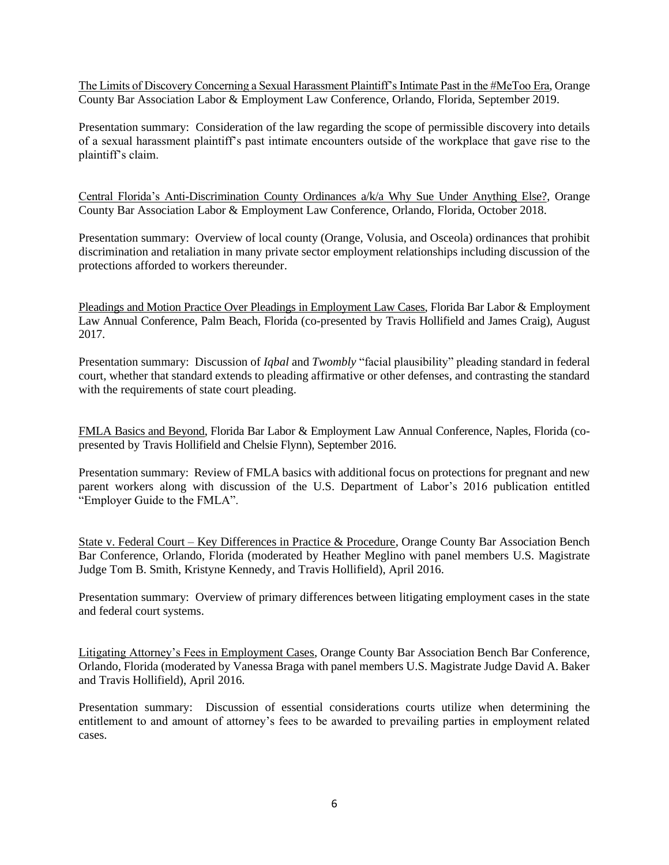The Limits of Discovery Concerning a Sexual Harassment Plaintiff's Intimate Past in the #MeToo Era, Orange County Bar Association Labor & Employment Law Conference, Orlando, Florida, September 2019.

Presentation summary: Consideration of the law regarding the scope of permissible discovery into details of a sexual harassment plaintiff's past intimate encounters outside of the workplace that gave rise to the plaintiff's claim.

Central Florida's Anti-Discrimination County Ordinances a/k/a Why Sue Under Anything Else?, Orange County Bar Association Labor & Employment Law Conference, Orlando, Florida, October 2018.

Presentation summary: Overview of local county (Orange, Volusia, and Osceola) ordinances that prohibit discrimination and retaliation in many private sector employment relationships including discussion of the protections afforded to workers thereunder.

Pleadings and Motion Practice Over Pleadings in Employment Law Cases, Florida Bar Labor & Employment Law Annual Conference, Palm Beach, Florida (co-presented by Travis Hollifield and James Craig), August 2017.

Presentation summary: Discussion of *Iqbal* and *Twombly* "facial plausibility" pleading standard in federal court, whether that standard extends to pleading affirmative or other defenses, and contrasting the standard with the requirements of state court pleading.

FMLA Basics and Beyond, Florida Bar Labor & Employment Law Annual Conference, Naples, Florida (copresented by Travis Hollifield and Chelsie Flynn), September 2016.

Presentation summary: Review of FMLA basics with additional focus on protections for pregnant and new parent workers along with discussion of the U.S. Department of Labor's 2016 publication entitled "Employer Guide to the FMLA".

State v. Federal Court – Key Differences in Practice & Procedure, Orange County Bar Association Bench Bar Conference, Orlando, Florida (moderated by Heather Meglino with panel members U.S. Magistrate Judge Tom B. Smith, Kristyne Kennedy, and Travis Hollifield), April 2016.

Presentation summary: Overview of primary differences between litigating employment cases in the state and federal court systems.

Litigating Attorney's Fees in Employment Cases, Orange County Bar Association Bench Bar Conference, Orlando, Florida (moderated by Vanessa Braga with panel members U.S. Magistrate Judge David A. Baker and Travis Hollifield), April 2016.

Presentation summary: Discussion of essential considerations courts utilize when determining the entitlement to and amount of attorney's fees to be awarded to prevailing parties in employment related cases.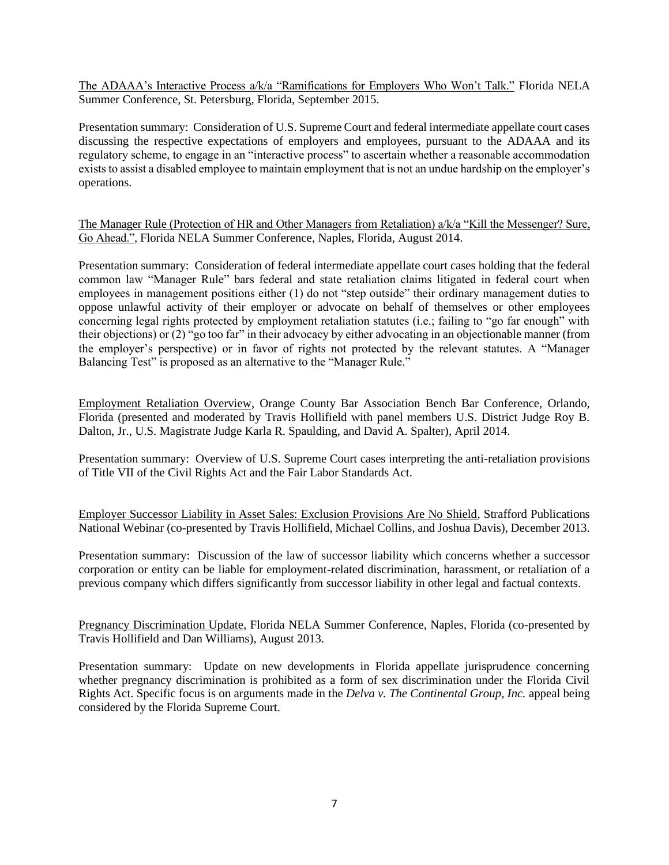The ADAAA's Interactive Process a/k/a "Ramifications for Employers Who Won't Talk." Florida NELA Summer Conference, St. Petersburg, Florida, September 2015.

Presentation summary: Consideration of U.S. Supreme Court and federal intermediate appellate court cases discussing the respective expectations of employers and employees, pursuant to the ADAAA and its regulatory scheme, to engage in an "interactive process" to ascertain whether a reasonable accommodation exists to assist a disabled employee to maintain employment that is not an undue hardship on the employer's operations.

The Manager Rule (Protection of HR and Other Managers from Retaliation) a/k/a "Kill the Messenger? Sure, Go Ahead.", Florida NELA Summer Conference, Naples, Florida, August 2014.

Presentation summary: Consideration of federal intermediate appellate court cases holding that the federal common law "Manager Rule" bars federal and state retaliation claims litigated in federal court when employees in management positions either (1) do not "step outside" their ordinary management duties to oppose unlawful activity of their employer or advocate on behalf of themselves or other employees concerning legal rights protected by employment retaliation statutes (i.e.; failing to "go far enough" with their objections) or (2) "go too far" in their advocacy by either advocating in an objectionable manner (from the employer's perspective) or in favor of rights not protected by the relevant statutes. A "Manager Balancing Test" is proposed as an alternative to the "Manager Rule."

Employment Retaliation Overview, Orange County Bar Association Bench Bar Conference, Orlando, Florida (presented and moderated by Travis Hollifield with panel members U.S. District Judge Roy B. Dalton, Jr., U.S. Magistrate Judge Karla R. Spaulding, and David A. Spalter), April 2014.

Presentation summary: Overview of U.S. Supreme Court cases interpreting the anti-retaliation provisions of Title VII of the Civil Rights Act and the Fair Labor Standards Act.

Employer Successor Liability in Asset Sales: Exclusion Provisions Are No Shield, Strafford Publications National Webinar (co-presented by Travis Hollifield, Michael Collins, and Joshua Davis), December 2013.

Presentation summary: Discussion of the law of successor liability which concerns whether a successor corporation or entity can be liable for employment-related discrimination, harassment, or retaliation of a previous company which differs significantly from successor liability in other legal and factual contexts.

Pregnancy Discrimination Update, Florida NELA Summer Conference, Naples, Florida (co-presented by Travis Hollifield and Dan Williams), August 2013.

Presentation summary: Update on new developments in Florida appellate jurisprudence concerning whether pregnancy discrimination is prohibited as a form of sex discrimination under the Florida Civil Rights Act. Specific focus is on arguments made in the *Delva v. The Continental Group, Inc.* appeal being considered by the Florida Supreme Court.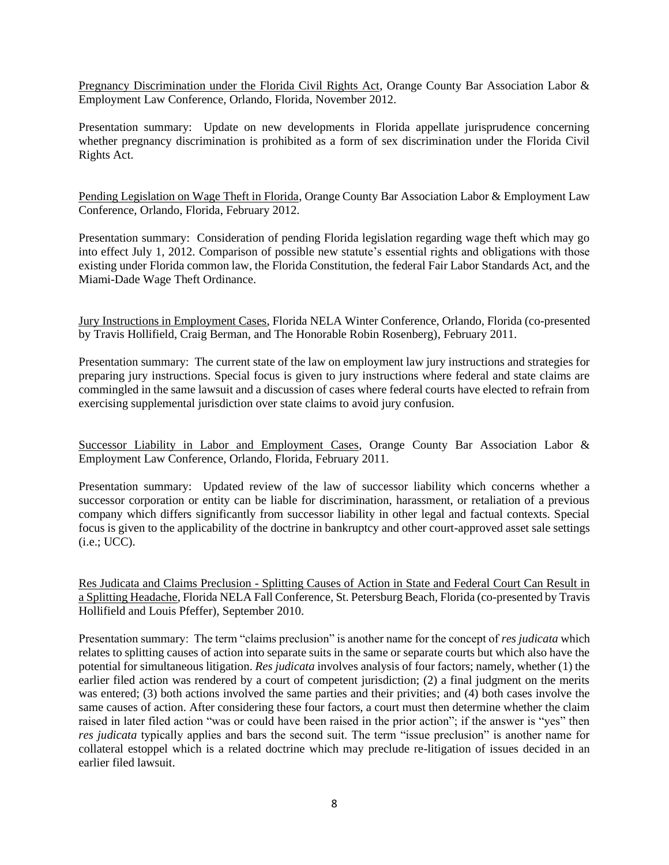Pregnancy Discrimination under the Florida Civil Rights Act, Orange County Bar Association Labor & Employment Law Conference, Orlando, Florida, November 2012.

Presentation summary: Update on new developments in Florida appellate jurisprudence concerning whether pregnancy discrimination is prohibited as a form of sex discrimination under the Florida Civil Rights Act.

Pending Legislation on Wage Theft in Florida, Orange County Bar Association Labor & Employment Law Conference, Orlando, Florida, February 2012.

Presentation summary: Consideration of pending Florida legislation regarding wage theft which may go into effect July 1, 2012. Comparison of possible new statute's essential rights and obligations with those existing under Florida common law, the Florida Constitution, the federal Fair Labor Standards Act, and the Miami-Dade Wage Theft Ordinance.

Jury Instructions in Employment Cases, Florida NELA Winter Conference, Orlando, Florida (co-presented by Travis Hollifield, Craig Berman, and The Honorable Robin Rosenberg), February 2011.

Presentation summary: The current state of the law on employment law jury instructions and strategies for preparing jury instructions. Special focus is given to jury instructions where federal and state claims are commingled in the same lawsuit and a discussion of cases where federal courts have elected to refrain from exercising supplemental jurisdiction over state claims to avoid jury confusion.

Successor Liability in Labor and Employment Cases, Orange County Bar Association Labor & Employment Law Conference, Orlando, Florida, February 2011.

Presentation summary: Updated review of the law of successor liability which concerns whether a successor corporation or entity can be liable for discrimination, harassment, or retaliation of a previous company which differs significantly from successor liability in other legal and factual contexts. Special focus is given to the applicability of the doctrine in bankruptcy and other court-approved asset sale settings (i.e.; UCC).

Res Judicata and Claims Preclusion - Splitting Causes of Action in State and Federal Court Can Result in a Splitting Headache, Florida NELA Fall Conference, St. Petersburg Beach, Florida (co-presented by Travis Hollifield and Louis Pfeffer), September 2010.

Presentation summary: The term "claims preclusion" is another name for the concept of *res judicata* which relates to splitting causes of action into separate suits in the same or separate courts but which also have the potential for simultaneous litigation. *Res judicata* involves analysis of four factors; namely, whether (1) the earlier filed action was rendered by a court of competent jurisdiction; (2) a final judgment on the merits was entered; (3) both actions involved the same parties and their privities; and (4) both cases involve the same causes of action. After considering these four factors, a court must then determine whether the claim raised in later filed action "was or could have been raised in the prior action"; if the answer is "yes" then *res judicata* typically applies and bars the second suit. The term "issue preclusion" is another name for collateral estoppel which is a related doctrine which may preclude re-litigation of issues decided in an earlier filed lawsuit.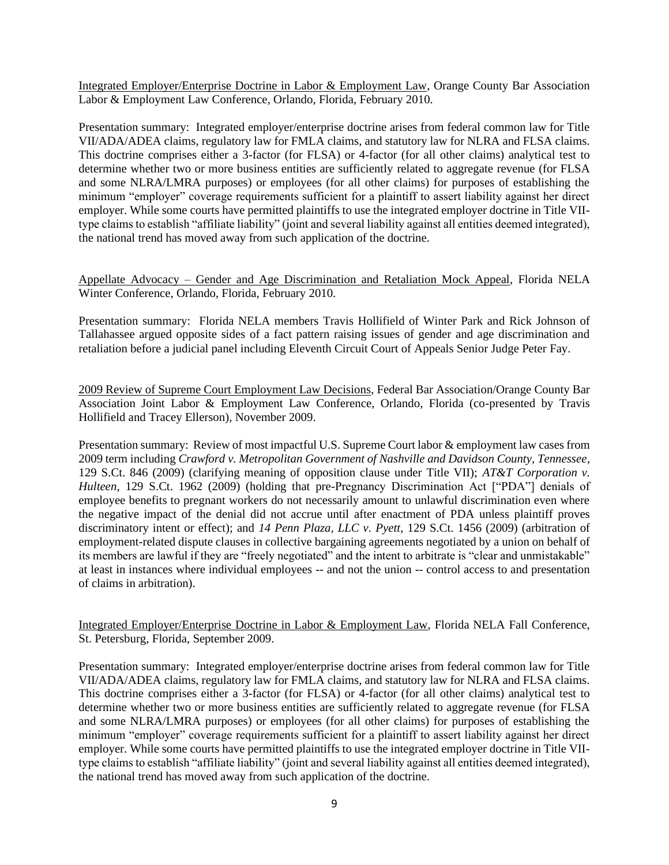Integrated Employer/Enterprise Doctrine in Labor & Employment Law, Orange County Bar Association Labor & Employment Law Conference, Orlando, Florida, February 2010.

Presentation summary: Integrated employer/enterprise doctrine arises from federal common law for Title VII/ADA/ADEA claims, regulatory law for FMLA claims, and statutory law for NLRA and FLSA claims. This doctrine comprises either a 3-factor (for FLSA) or 4-factor (for all other claims) analytical test to determine whether two or more business entities are sufficiently related to aggregate revenue (for FLSA and some NLRA/LMRA purposes) or employees (for all other claims) for purposes of establishing the minimum "employer" coverage requirements sufficient for a plaintiff to assert liability against her direct employer. While some courts have permitted plaintiffs to use the integrated employer doctrine in Title VIItype claims to establish "affiliate liability" (joint and several liability against all entities deemed integrated), the national trend has moved away from such application of the doctrine.

Appellate Advocacy – Gender and Age Discrimination and Retaliation Mock Appeal, Florida NELA Winter Conference, Orlando, Florida, February 2010.

Presentation summary: Florida NELA members Travis Hollifield of Winter Park and Rick Johnson of Tallahassee argued opposite sides of a fact pattern raising issues of gender and age discrimination and retaliation before a judicial panel including Eleventh Circuit Court of Appeals Senior Judge Peter Fay.

2009 Review of Supreme Court Employment Law Decisions, Federal Bar Association/Orange County Bar Association Joint Labor & Employment Law Conference, Orlando, Florida (co-presented by Travis Hollifield and Tracey Ellerson), November 2009.

Presentation summary: Review of most impactful U.S. Supreme Court labor & employment law cases from 2009 term including *Crawford v. Metropolitan Government of Nashville and Davidson County, Tennessee*, 129 S.Ct. 846 (2009) (clarifying meaning of opposition clause under Title VII); *AT&T Corporation v. Hulteen*, 129 S.Ct. 1962 (2009) (holding that pre-Pregnancy Discrimination Act ["PDA"] denials of employee benefits to pregnant workers do not necessarily amount to unlawful discrimination even where the negative impact of the denial did not accrue until after enactment of PDA unless plaintiff proves discriminatory intent or effect); and *14 Penn Plaza, LLC v. Pyett*, 129 S.Ct. 1456 (2009) (arbitration of employment-related dispute clauses in collective bargaining agreements negotiated by a union on behalf of its members are lawful if they are "freely negotiated" and the intent to arbitrate is "clear and unmistakable" at least in instances where individual employees -- and not the union -- control access to and presentation of claims in arbitration).

Integrated Employer/Enterprise Doctrine in Labor & Employment Law, Florida NELA Fall Conference, St. Petersburg, Florida, September 2009.

Presentation summary: Integrated employer/enterprise doctrine arises from federal common law for Title VII/ADA/ADEA claims, regulatory law for FMLA claims, and statutory law for NLRA and FLSA claims. This doctrine comprises either a 3-factor (for FLSA) or 4-factor (for all other claims) analytical test to determine whether two or more business entities are sufficiently related to aggregate revenue (for FLSA and some NLRA/LMRA purposes) or employees (for all other claims) for purposes of establishing the minimum "employer" coverage requirements sufficient for a plaintiff to assert liability against her direct employer. While some courts have permitted plaintiffs to use the integrated employer doctrine in Title VIItype claims to establish "affiliate liability" (joint and several liability against all entities deemed integrated), the national trend has moved away from such application of the doctrine.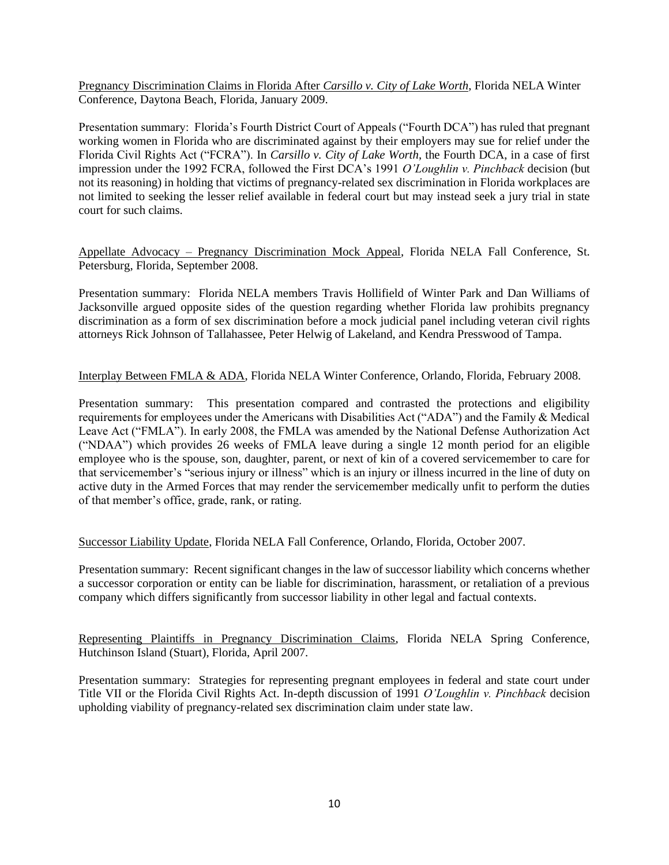Pregnancy Discrimination Claims in Florida After *Carsillo v. City of Lake Worth*, Florida NELA Winter Conference, Daytona Beach, Florida, January 2009.

Presentation summary: Florida's Fourth District Court of Appeals ("Fourth DCA") has ruled that pregnant working women in Florida who are discriminated against by their employers may sue for relief under the Florida Civil Rights Act ("FCRA"). In *Carsillo v. City of Lake Worth*, the Fourth DCA, in a case of first impression under the 1992 FCRA, followed the First DCA's 1991 *O'Loughlin v. Pinchback* decision (but not its reasoning) in holding that victims of pregnancy-related sex discrimination in Florida workplaces are not limited to seeking the lesser relief available in federal court but may instead seek a jury trial in state court for such claims.

Appellate Advocacy – Pregnancy Discrimination Mock Appeal, Florida NELA Fall Conference, St. Petersburg, Florida, September 2008.

Presentation summary: Florida NELA members Travis Hollifield of Winter Park and Dan Williams of Jacksonville argued opposite sides of the question regarding whether Florida law prohibits pregnancy discrimination as a form of sex discrimination before a mock judicial panel including veteran civil rights attorneys Rick Johnson of Tallahassee, Peter Helwig of Lakeland, and Kendra Presswood of Tampa.

Interplay Between FMLA & ADA, Florida NELA Winter Conference, Orlando, Florida, February 2008.

Presentation summary: This presentation compared and contrasted the protections and eligibility requirements for employees under the Americans with Disabilities Act ("ADA") and the Family & Medical Leave Act ("FMLA"). In early 2008, the FMLA was amended by the National Defense Authorization Act ("NDAA") which provides 26 weeks of FMLA leave during a single 12 month period for an eligible employee who is the spouse, son, daughter, parent, or next of kin of a covered servicemember to care for that servicemember's "serious injury or illness" which is an injury or illness incurred in the line of duty on active duty in the Armed Forces that may render the servicemember medically unfit to perform the duties of that member's office, grade, rank, or rating.

Successor Liability Update, Florida NELA Fall Conference, Orlando, Florida, October 2007.

Presentation summary: Recent significant changes in the law of successor liability which concerns whether a successor corporation or entity can be liable for discrimination, harassment, or retaliation of a previous company which differs significantly from successor liability in other legal and factual contexts.

Representing Plaintiffs in Pregnancy Discrimination Claims, Florida NELA Spring Conference, Hutchinson Island (Stuart), Florida, April 2007.

Presentation summary: Strategies for representing pregnant employees in federal and state court under Title VII or the Florida Civil Rights Act. In-depth discussion of 1991 *O'Loughlin v. Pinchback* decision upholding viability of pregnancy-related sex discrimination claim under state law.